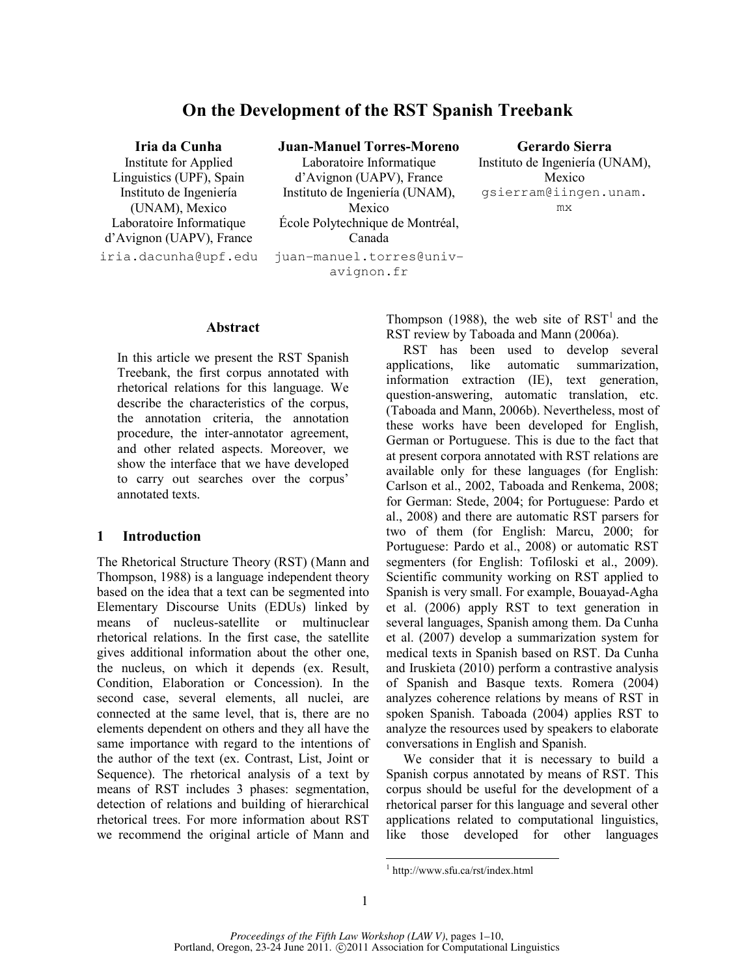# On the Development of the RST Spanish Treebank

Institute for Applied Linguistics (UPF), Spain Instituto de Ingeniería (UNAM), Mexico Laboratoire Informatique d'Avignon (UAPV), France iria.dacunha@upf.edu juan-manuel.torres@univ-

### Iria da Cunha Juan-Manuel Torres-Moreno Gerardo Sierra

Laboratoire Informatique d'Avignon (UAPV), France Instituto de Ingeniería (UNAM), Mexico École Polytechnique de Montréal, Canada

avignon.fr

Instituto de Ingeniería (UNAM), Mexico gsierram@iingen.unam. mx

#### Abstract

In this article we present the RST Spanish Treebank, the first corpus annotated with rhetorical relations for this language. We describe the characteristics of the corpus, the annotation criteria, the annotation procedure, the inter-annotator agreement, and other related aspects. Moreover, we show the interface that we have developed to carry out searches over the corpus' annotated texts.

## 1 Introduction

The Rhetorical Structure Theory (RST) (Mann and Thompson, 1988) is a language independent theory based on the idea that a text can be segmented into Elementary Discourse Units (EDUs) linked by means of nucleus-satellite or multinuclear rhetorical relations. In the first case, the satellite gives additional information about the other one, the nucleus, on which it depends (ex. Result, Condition, Elaboration or Concession). In the second case, several elements, all nuclei, are connected at the same level, that is, there are no elements dependent on others and they all have the same importance with regard to the intentions of the author of the text (ex. Contrast, List, Joint or Sequence). The rhetorical analysis of a text by means of RST includes 3 phases: segmentation, detection of relations and building of hierarchical rhetorical trees. For more information about RST we recommend the original article of Mann and

Thompson (1988), the web site of  $RST<sup>1</sup>$  and the RST review by Taboada and Mann (2006a).

RST has been used to develop several applications, like automatic summarization, information extraction (IE), text generation, question-answering, automatic translation, etc. (Taboada and Mann, 2006b). Nevertheless, most of these works have been developed for English, German or Portuguese. This is due to the fact that at present corpora annotated with RST relations are available only for these languages (for English: Carlson et al., 2002, Taboada and Renkema, 2008; for German: Stede, 2004; for Portuguese: Pardo et al., 2008) and there are automatic RST parsers for two of them (for English: Marcu, 2000; for Portuguese: Pardo et al., 2008) or automatic RST segmenters (for English: Tofiloski et al., 2009). Scientific community working on RST applied to Spanish is very small. For example, Bouayad-Agha et al. (2006) apply RST to text generation in several languages, Spanish among them. Da Cunha et al. (2007) develop a summarization system for medical texts in Spanish based on RST. Da Cunha and Iruskieta (2010) perform a contrastive analysis of Spanish and Basque texts. Romera (2004) analyzes coherence relations by means of RST in spoken Spanish. Taboada (2004) applies RST to analyze the resources used by speakers to elaborate conversations in English and Spanish.

We consider that it is necessary to build a Spanish corpus annotated by means of RST. This corpus should be useful for the development of a rhetorical parser for this language and several other applications related to computational linguistics, like those developed for other languages

 $\overline{a}$ 

<sup>1</sup> http://www.sfu.ca/rst/index.html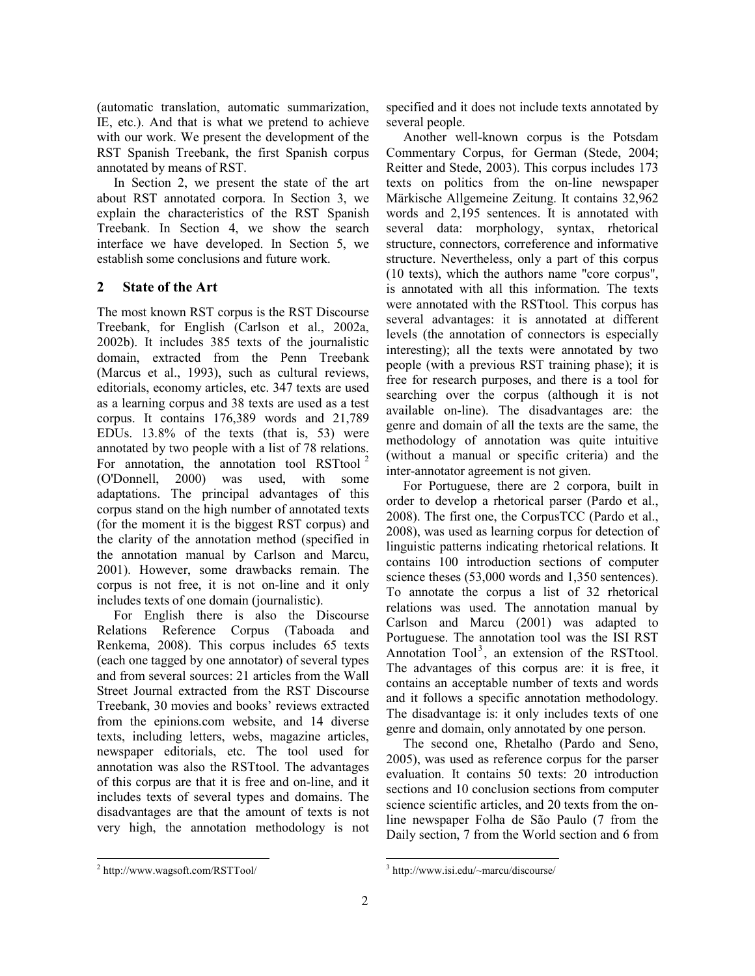(automatic translation, automatic summarization, IE, etc.). And that is what we pretend to achieve with our work. We present the development of the RST Spanish Treebank, the first Spanish corpus annotated by means of RST.

In Section 2, we present the state of the art about RST annotated corpora. In Section 3, we explain the characteristics of the RST Spanish Treebank. In Section 4, we show the search interface we have developed. In Section 5, we establish some conclusions and future work.

## 2 State of the Art

The most known RST corpus is the RST Discourse Treebank, for English (Carlson et al., 2002a, 2002b). It includes 385 texts of the journalistic domain, extracted from the Penn Treebank (Marcus et al., 1993), such as cultural reviews, editorials, economy articles, etc. 347 texts are used as a learning corpus and 38 texts are used as a test corpus. It contains 176,389 words and 21,789 EDUs. 13.8% of the texts (that is, 53) were annotated by two people with a list of 78 relations. For annotation, the annotation tool RSTtool<sup>2</sup> (O'Donnell, 2000) was used, with some adaptations. The principal advantages of this corpus stand on the high number of annotated texts (for the moment it is the biggest RST corpus) and the clarity of the annotation method (specified in the annotation manual by Carlson and Marcu, 2001). However, some drawbacks remain. The corpus is not free, it is not on-line and it only includes texts of one domain (journalistic).

For English there is also the Discourse Relations Reference Corpus (Taboada and Renkema, 2008). This corpus includes 65 texts (each one tagged by one annotator) of several types and from several sources: 21 articles from the Wall Street Journal extracted from the RST Discourse Treebank, 30 movies and books' reviews extracted from the epinions.com website, and 14 diverse texts, including letters, webs, magazine articles, newspaper editorials, etc. The tool used for annotation was also the RSTtool. The advantages of this corpus are that it is free and on-line, and it includes texts of several types and domains. The disadvantages are that the amount of texts is not very high, the annotation methodology is not specified and it does not include texts annotated by several people.

Another well-known corpus is the Potsdam Commentary Corpus, for German (Stede, 2004; Reitter and Stede, 2003). This corpus includes 173 texts on politics from the on-line newspaper Märkische Allgemeine Zeitung. It contains 32,962 words and 2,195 sentences. It is annotated with several data: morphology, syntax, rhetorical structure, connectors, correference and informative structure. Nevertheless, only a part of this corpus (10 texts), which the authors name "core corpus", is annotated with all this information. The texts were annotated with the RSTtool. This corpus has several advantages: it is annotated at different levels (the annotation of connectors is especially interesting); all the texts were annotated by two people (with a previous RST training phase); it is free for research purposes, and there is a tool for searching over the corpus (although it is not available on-line). The disadvantages are: the genre and domain of all the texts are the same, the methodology of annotation was quite intuitive (without a manual or specific criteria) and the inter-annotator agreement is not given.

For Portuguese, there are 2 corpora, built in order to develop a rhetorical parser (Pardo et al., 2008). The first one, the CorpusTCC (Pardo et al., 2008), was used as learning corpus for detection of linguistic patterns indicating rhetorical relations. It contains 100 introduction sections of computer science theses (53,000 words and 1,350 sentences). To annotate the corpus a list of 32 rhetorical relations was used. The annotation manual by Carlson and Marcu (2001) was adapted to Portuguese. The annotation tool was the ISI RST Annotation  $Tool^3$ , an extension of the RSTtool. The advantages of this corpus are: it is free, it contains an acceptable number of texts and words and it follows a specific annotation methodology. The disadvantage is: it only includes texts of one genre and domain, only annotated by one person.

The second one, Rhetalho (Pardo and Seno, 2005), was used as reference corpus for the parser evaluation. It contains 50 texts: 20 introduction sections and 10 conclusion sections from computer science scientific articles, and 20 texts from the online newspaper Folha de São Paulo (7 from the Daily section, 7 from the World section and 6 from

<sup>-</sup>2 http://www.wagsoft.com/RSTTool/

 $\overline{a}$ 3 http://www.isi.edu/~marcu/discourse/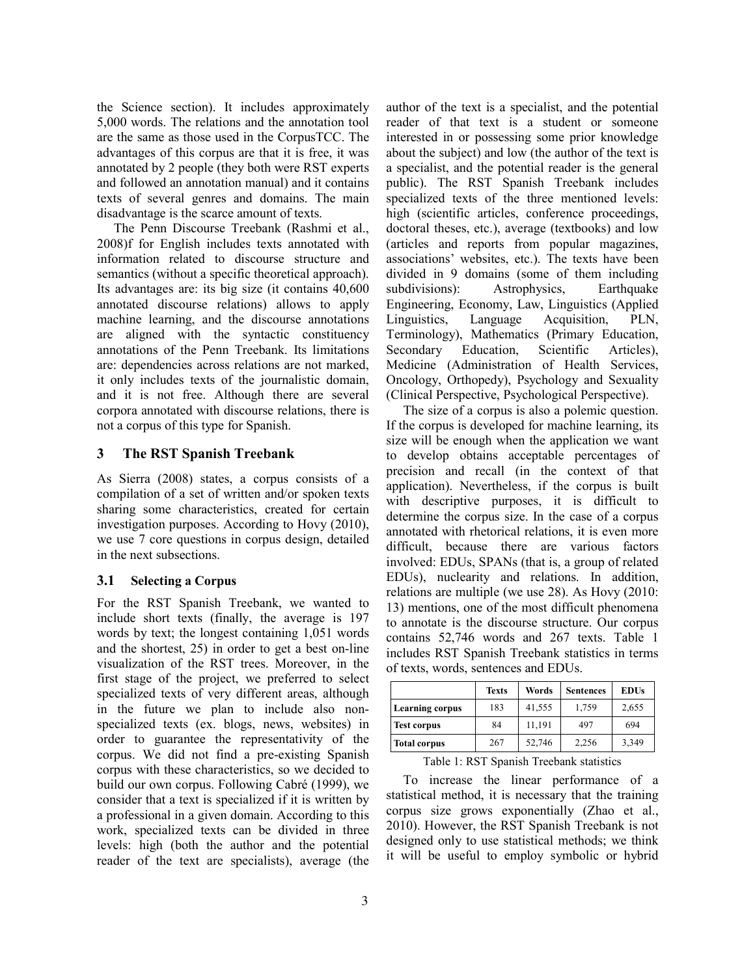the Science section). It includes approximately 5,000 words. The relations and the annotation tool are the same as those used in the CorpusTCC. The advantages of this corpus are that it is free, it was annotated by 2 people (they both were RST experts and followed an annotation manual) and it contains texts of several genres and domains. The main disadvantage is the scarce amount of texts.

The Penn Discourse Treebank (Rashmi et al., 2008)f for English includes texts annotated with information related to discourse structure and semantics (without a specific theoretical approach). Its advantages are: its big size (it contains 40,600 annotated discourse relations) allows to apply machine learning, and the discourse annotations are aligned with the syntactic constituency annotations of the Penn Treebank. Its limitations are: dependencies across relations are not marked, it only includes texts of the journalistic domain, and it is not free. Although there are several corpora annotated with discourse relations, there is not a corpus of this type for Spanish.

## 3 The RST Spanish Treebank

As Sierra (2008) states, a corpus consists of a compilation of a set of written and/or spoken texts sharing some characteristics, created for certain investigation purposes. According to Hovy (2010), we use 7 core questions in corpus design, detailed in the next subsections.

#### 3.1 Selecting a Corpus

For the RST Spanish Treebank, we wanted to include short texts (finally, the average is 197 words by text; the longest containing 1,051 words and the shortest, 25) in order to get a best on-line visualization of the RST trees. Moreover, in the first stage of the project, we preferred to select specialized texts of very different areas, although in the future we plan to include also nonspecialized texts (ex. blogs, news, websites) in order to guarantee the representativity of the corpus. We did not find a pre-existing Spanish corpus with these characteristics, so we decided to build our own corpus. Following Cabré (1999), we consider that a text is specialized if it is written by a professional in a given domain. According to this work, specialized texts can be divided in three levels: high (both the author and the potential reader of the text are specialists), average (the author of the text is a specialist, and the potential reader of that text is a student or someone interested in or possessing some prior knowledge about the subject) and low (the author of the text is a specialist, and the potential reader is the general public). The RST Spanish Treebank includes specialized texts of the three mentioned levels: high (scientific articles, conference proceedings, doctoral theses, etc.), average (textbooks) and low (articles and reports from popular magazines, associations' websites, etc.). The texts have been divided in 9 domains (some of them including subdivisions): Astrophysics, Earthquake Engineering, Economy, Law, Linguistics (Applied Linguistics, Language Acquisition, PLN, Terminology), Mathematics (Primary Education, Secondary Education, Scientific Articles), Medicine (Administration of Health Services, Oncology, Orthopedy), Psychology and Sexuality (Clinical Perspective, Psychological Perspective).

The size of a corpus is also a polemic question. If the corpus is developed for machine learning, its size will be enough when the application we want to develop obtains acceptable percentages of precision and recall (in the context of that application). Nevertheless, if the corpus is built with descriptive purposes, it is difficult to determine the corpus size. In the case of a corpus annotated with rhetorical relations, it is even more difficult, because there are various factors involved: EDUs, SPANs (that is, a group of related EDUs), nuclearity and relations. In addition, relations are multiple (we use 28). As Hovy (2010: 13) mentions, one of the most difficult phenomena to annotate is the discourse structure. Our corpus contains 52,746 words and 267 texts. Table 1 includes RST Spanish Treebank statistics in terms of texts, words, sentences and EDUs.

|                        | <b>Texts</b> | Words  | <b>Sentences</b> | <b>EDUs</b> |
|------------------------|--------------|--------|------------------|-------------|
| <b>Learning corpus</b> | 183          | 41,555 | 1,759            | 2,655       |
| <b>Test corpus</b>     | 84           | 11,191 | 497              | 694         |
| <b>Total corpus</b>    | 267          | 52,746 | 2,256            | 3,349       |

Table 1: RST Spanish Treebank statistics

To increase the linear performance of a statistical method, it is necessary that the training corpus size grows exponentially (Zhao et al., 2010). However, the RST Spanish Treebank is not designed only to use statistical methods; we think it will be useful to employ symbolic or hybrid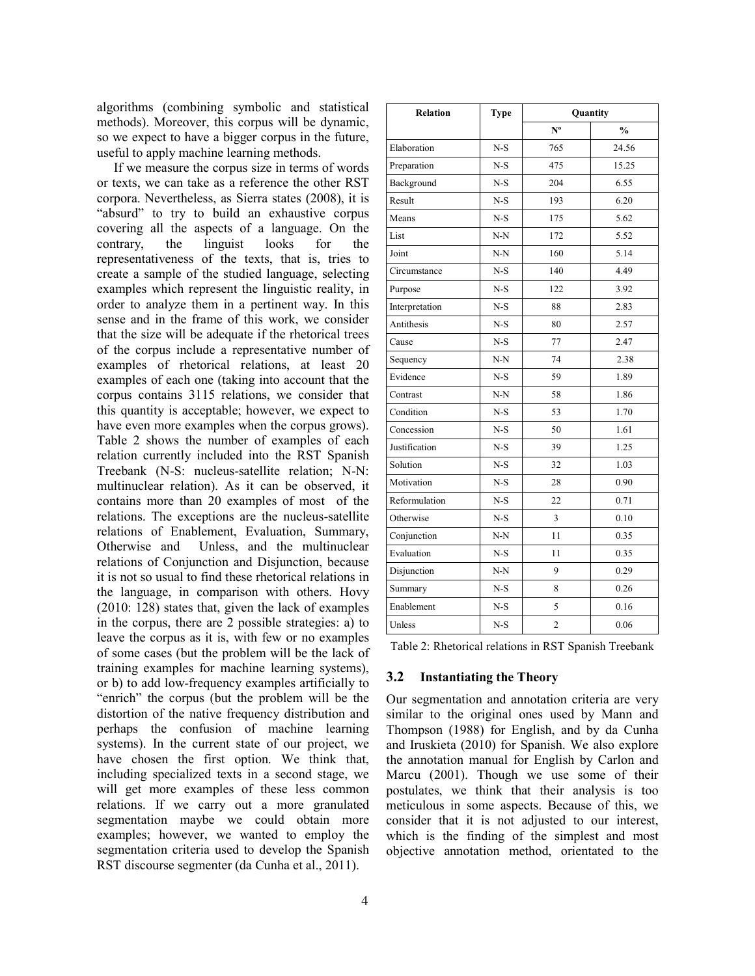algorithms (combining symbolic and statistical methods). Moreover, this corpus will be dynamic, so we expect to have a bigger corpus in the future, useful to apply machine learning methods.

If we measure the corpus size in terms of words or texts, we can take as a reference the other RST corpora. Nevertheless, as Sierra states (2008), it is "absurd" to try to build an exhaustive corpus covering all the aspects of a language. On the contrary, the linguist looks for the representativeness of the texts, that is, tries to create a sample of the studied language, selecting examples which represent the linguistic reality, in order to analyze them in a pertinent way. In this sense and in the frame of this work, we consider that the size will be adequate if the rhetorical trees of the corpus include a representative number of examples of rhetorical relations, at least 20 examples of each one (taking into account that the corpus contains 3115 relations, we consider that this quantity is acceptable; however, we expect to have even more examples when the corpus grows). Table 2 shows the number of examples of each relation currently included into the RST Spanish Treebank (N-S: nucleus-satellite relation; N-N: multinuclear relation). As it can be observed, it contains more than 20 examples of most of the relations. The exceptions are the nucleus-satellite relations of Enablement, Evaluation, Summary, Otherwise and Unless, and the multinuclear relations of Conjunction and Disjunction, because it is not so usual to find these rhetorical relations in the language, in comparison with others. Hovy (2010: 128) states that, given the lack of examples in the corpus, there are 2 possible strategies: a) to leave the corpus as it is, with few or no examples of some cases (but the problem will be the lack of training examples for machine learning systems), or b) to add low-frequency examples artificially to "enrich" the corpus (but the problem will be the distortion of the native frequency distribution and perhaps the confusion of machine learning systems). In the current state of our project, we have chosen the first option. We think that, including specialized texts in a second stage, we will get more examples of these less common relations. If we carry out a more granulated segmentation maybe we could obtain more examples; however, we wanted to employ the segmentation criteria used to develop the Spanish RST discourse segmenter (da Cunha et al., 2011).

| <b>Relation</b> | <b>Type</b> | Quantity       |               |
|-----------------|-------------|----------------|---------------|
|                 |             | $N^{\text{o}}$ | $\frac{0}{0}$ |
| Elaboration     | $N-S$       | 765            | 24.56         |
| Preparation     | $N-S$       | 475            | 15.25         |
| Background      | $N-S$       | 204            | 6.55          |
| Result          | $N-S$       | 193            | 6.20          |
| Means           | $N-S$       | 175            | 5.62          |
| List            | $N-N$       | 172            | 5.52          |
| Joint           | $N-N$       | 160            | 5.14          |
| Circumstance    | $N-S$       | 140            | 4.49          |
| Purpose         | $N-S$       | 122            | 3.92          |
| Interpretation  | $N-S$       | 88             | 2.83          |
| Antithesis      | $N-S$       | 80             | 2.57          |
| Cause           | $N-S$       | 77             | 2.47          |
| Sequency        | $N-N$       | 74             | 2.38          |
| Evidence        | $N-S$       | 59             | 1.89          |
| Contrast        | $N-N$       | 58             | 1.86          |
| Condition       | $N-S$       | 53             | 1.70          |
| Concession      | $N-S$       | 50             | 1.61          |
| Justification   | $N-S$       | 39             | 1.25          |
| Solution        | $N-S$       | 32             | 1.03          |
| Motivation      | $N-S$       | 28             | 0.90          |
| Reformulation   | $N-S$       | 22             | 0.71          |
| Otherwise       | $N-S$       | $\overline{3}$ | 0.10          |
| Conjunction     | $N-N$       | 11             | 0.35          |
| Evaluation      | $N-S$       | 11             | 0.35          |
| Disjunction     | $N-N$       | 9              | 0.29          |
| Summary         | $N-S$       | 8              | 0.26          |
| Enablement      | $N-S$       | 5              | 0.16          |
| Unless          | $N-S$       | $\overline{2}$ | 0.06          |

Table 2: Rhetorical relations in RST Spanish Treebank

## 3.2 Instantiating the Theory

Our segmentation and annotation criteria are very similar to the original ones used by Mann and Thompson (1988) for English, and by da Cunha and Iruskieta (2010) for Spanish. We also explore the annotation manual for English by Carlon and Marcu (2001). Though we use some of their postulates, we think that their analysis is too meticulous in some aspects. Because of this, we consider that it is not adjusted to our interest, which is the finding of the simplest and most objective annotation method, orientated to the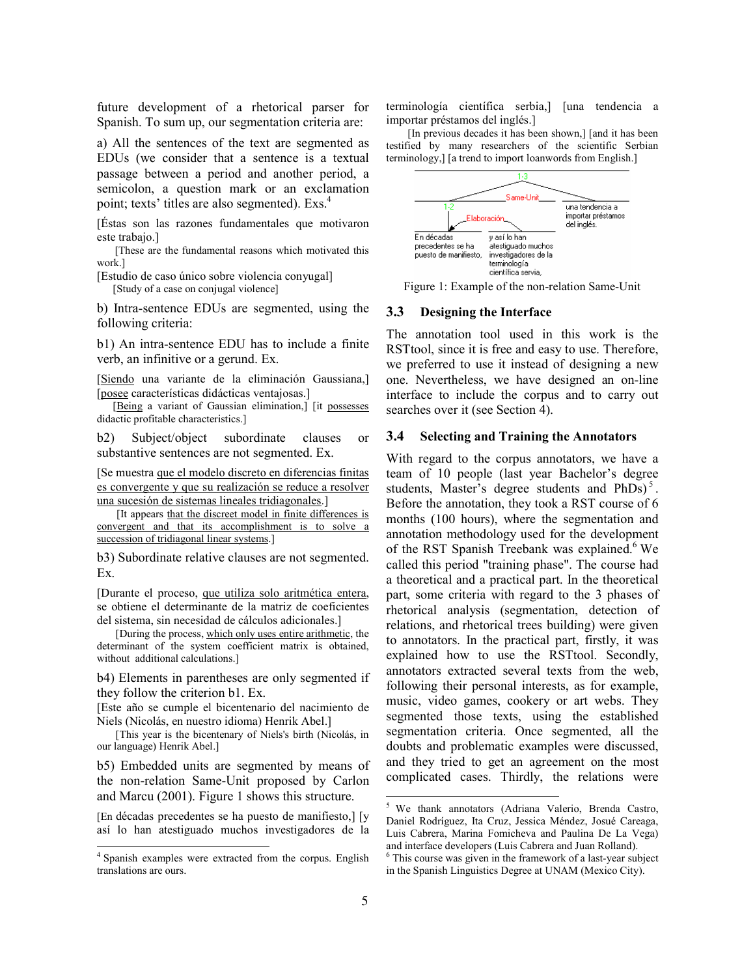future development of a rhetorical parser for Spanish. To sum up, our segmentation criteria are:

a) All the sentences of the text are segmented as EDUs (we consider that a sentence is a textual passage between a period and another period, a semicolon, a question mark or an exclamation point; texts' titles are also segmented). Exs.<sup>4</sup>

[Éstas son las razones fundamentales que motivaron este trabajo.]

 [These are the fundamental reasons which motivated this work.]

[Estudio de caso único sobre violencia conyugal] [Study of a case on conjugal violence]

b) Intra-sentence EDUs are segmented, using the following criteria:

b1) An intra-sentence EDU has to include a finite verb, an infinitive or a gerund. Ex.

[Siendo una variante de la eliminación Gaussiana,] [posee características didácticas ventajosas.]

[Being a variant of Gaussian elimination,] [it possesses didactic profitable characteristics.]

b2) Subject/object subordinate clauses or substantive sentences are not segmented. Ex.

[Se muestra que el modelo discreto en diferencias finitas es convergente y que su realización se reduce a resolver una sucesión de sistemas lineales tridiagonales.]

 [It appears that the discreet model in finite differences is convergent and that its accomplishment is to solve a succession of tridiagonal linear systems.]

b3) Subordinate relative clauses are not segmented. Ex.

[Durante el proceso, que utiliza solo aritmética entera, se obtiene el determinante de la matriz de coeficientes del sistema, sin necesidad de cálculos adicionales.]

 [During the process, which only uses entire arithmetic, the determinant of the system coefficient matrix is obtained, without additional calculations.]

b4) Elements in parentheses are only segmented if they follow the criterion b1. Ex.

[Este año se cumple el bicentenario del nacimiento de Niels (Nicolás, en nuestro idioma) Henrik Abel.]

 [This year is the bicentenary of Niels's birth (Nicolás, in our language) Henrik Abel.]

b5) Embedded units are segmented by means of the non-relation Same-Unit proposed by Carlon and Marcu (2001). Figure 1 shows this structure.

[En décadas precedentes se ha puesto de manifiesto,] [y así lo han atestiguado muchos investigadores de la

j

terminología científica serbia,] [una tendencia a importar préstamos del inglés.]

 [In previous decades it has been shown,] [and it has been testified by many researchers of the scientific Serbian terminology,] [a trend to import loanwords from English.]



Figure 1: Example of the non-relation Same-Unit

#### 3.3 Designing the Interface

The annotation tool used in this work is the RSTtool, since it is free and easy to use. Therefore, we preferred to use it instead of designing a new one. Nevertheless, we have designed an on-line interface to include the corpus and to carry out searches over it (see Section 4).

#### 3.4 Selecting and Training the Annotators

With regard to the corpus annotators, we have a team of 10 people (last year Bachelor's degree students, Master's degree students and  $PhDs$ <sup>5</sup>. Before the annotation, they took a RST course of 6 months (100 hours), where the segmentation and annotation methodology used for the development of the RST Spanish Treebank was explained.<sup>6</sup> We called this period "training phase". The course had a theoretical and a practical part. In the theoretical part, some criteria with regard to the 3 phases of rhetorical analysis (segmentation, detection of relations, and rhetorical trees building) were given to annotators. In the practical part, firstly, it was explained how to use the RSTtool. Secondly, annotators extracted several texts from the web, following their personal interests, as for example, music, video games, cookery or art webs. They segmented those texts, using the established segmentation criteria. Once segmented, all the doubts and problematic examples were discussed, and they tried to get an agreement on the most complicated cases. Thirdly, the relations were

<sup>4</sup> Spanish examples were extracted from the corpus. English translations are ours.

 5 We thank annotators (Adriana Valerio, Brenda Castro, Daniel Rodríguez, Ita Cruz, Jessica Méndez, Josué Careaga, Luis Cabrera, Marina Fomicheva and Paulina De La Vega) and interface developers (Luis Cabrera and Juan Rolland).

<sup>6</sup> This course was given in the framework of a last-year subject in the Spanish Linguistics Degree at UNAM (Mexico City).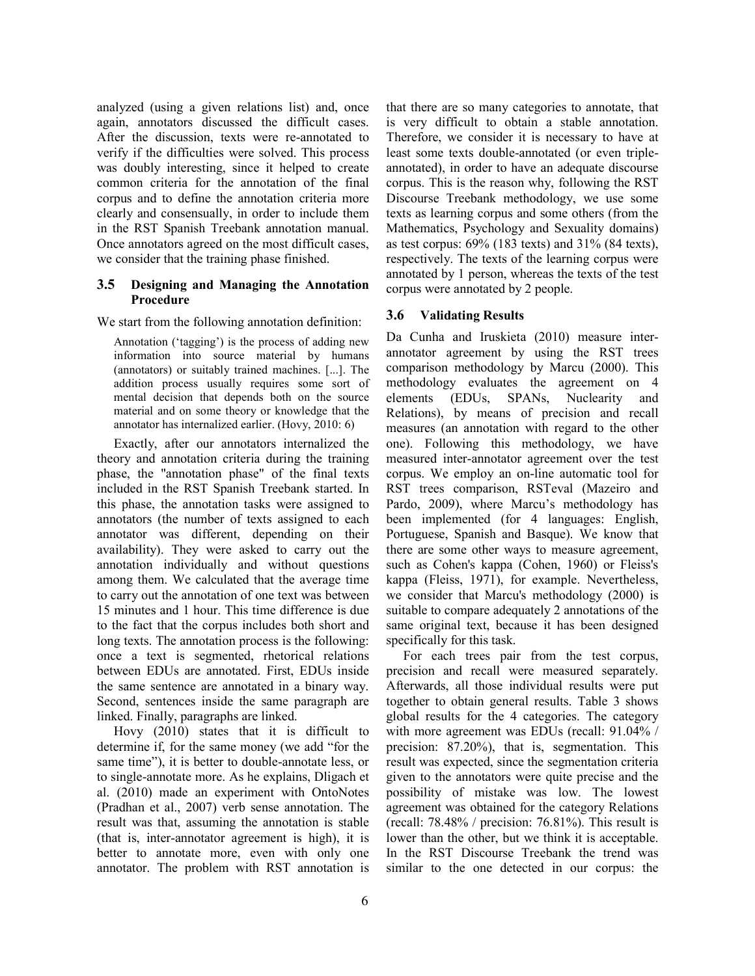analyzed (using a given relations list) and, once again, annotators discussed the difficult cases. After the discussion, texts were re-annotated to verify if the difficulties were solved. This process was doubly interesting, since it helped to create common criteria for the annotation of the final corpus and to define the annotation criteria more clearly and consensually, in order to include them in the RST Spanish Treebank annotation manual. Once annotators agreed on the most difficult cases, we consider that the training phase finished.

#### 3.5 Designing and Managing the Annotation Procedure

We start from the following annotation definition:

Annotation ('tagging') is the process of adding new information into source material by humans (annotators) or suitably trained machines. [...]. The addition process usually requires some sort of mental decision that depends both on the source material and on some theory or knowledge that the annotator has internalized earlier. (Hovy, 2010: 6)

Exactly, after our annotators internalized the theory and annotation criteria during the training phase, the "annotation phase" of the final texts included in the RST Spanish Treebank started. In this phase, the annotation tasks were assigned to annotators (the number of texts assigned to each annotator was different, depending on their availability). They were asked to carry out the annotation individually and without questions among them. We calculated that the average time to carry out the annotation of one text was between 15 minutes and 1 hour. This time difference is due to the fact that the corpus includes both short and long texts. The annotation process is the following: once a text is segmented, rhetorical relations between EDUs are annotated. First, EDUs inside the same sentence are annotated in a binary way. Second, sentences inside the same paragraph are linked. Finally, paragraphs are linked.

Hovy (2010) states that it is difficult to determine if, for the same money (we add "for the same time"), it is better to double-annotate less, or to single-annotate more. As he explains, Dligach et al. (2010) made an experiment with OntoNotes (Pradhan et al., 2007) verb sense annotation. The result was that, assuming the annotation is stable (that is, inter-annotator agreement is high), it is better to annotate more, even with only one annotator. The problem with RST annotation is that there are so many categories to annotate, that is very difficult to obtain a stable annotation. Therefore, we consider it is necessary to have at least some texts double-annotated (or even tripleannotated), in order to have an adequate discourse corpus. This is the reason why, following the RST Discourse Treebank methodology, we use some texts as learning corpus and some others (from the Mathematics, Psychology and Sexuality domains) as test corpus: 69% (183 texts) and 31% (84 texts), respectively. The texts of the learning corpus were annotated by 1 person, whereas the texts of the test corpus were annotated by 2 people.

## 3.6 Validating Results

Da Cunha and Iruskieta (2010) measure interannotator agreement by using the RST trees comparison methodology by Marcu (2000). This methodology evaluates the agreement on 4 elements (EDUs, SPANs, Nuclearity and Relations), by means of precision and recall measures (an annotation with regard to the other one). Following this methodology, we have measured inter-annotator agreement over the test corpus. We employ an on-line automatic tool for RST trees comparison, RSTeval (Mazeiro and Pardo, 2009), where Marcu's methodology has been implemented (for 4 languages: English, Portuguese, Spanish and Basque). We know that there are some other ways to measure agreement, such as Cohen's kappa (Cohen, 1960) or Fleiss's kappa (Fleiss, 1971), for example. Nevertheless, we consider that Marcu's methodology (2000) is suitable to compare adequately 2 annotations of the same original text, because it has been designed specifically for this task.

For each trees pair from the test corpus, precision and recall were measured separately. Afterwards, all those individual results were put together to obtain general results. Table 3 shows global results for the 4 categories. The category with more agreement was EDUs (recall: 91.04% / precision: 87.20%), that is, segmentation. This result was expected, since the segmentation criteria given to the annotators were quite precise and the possibility of mistake was low. The lowest agreement was obtained for the category Relations (recall:  $78.48\%$  / precision:  $76.81\%$ ). This result is lower than the other, but we think it is acceptable. In the RST Discourse Treebank the trend was similar to the one detected in our corpus: the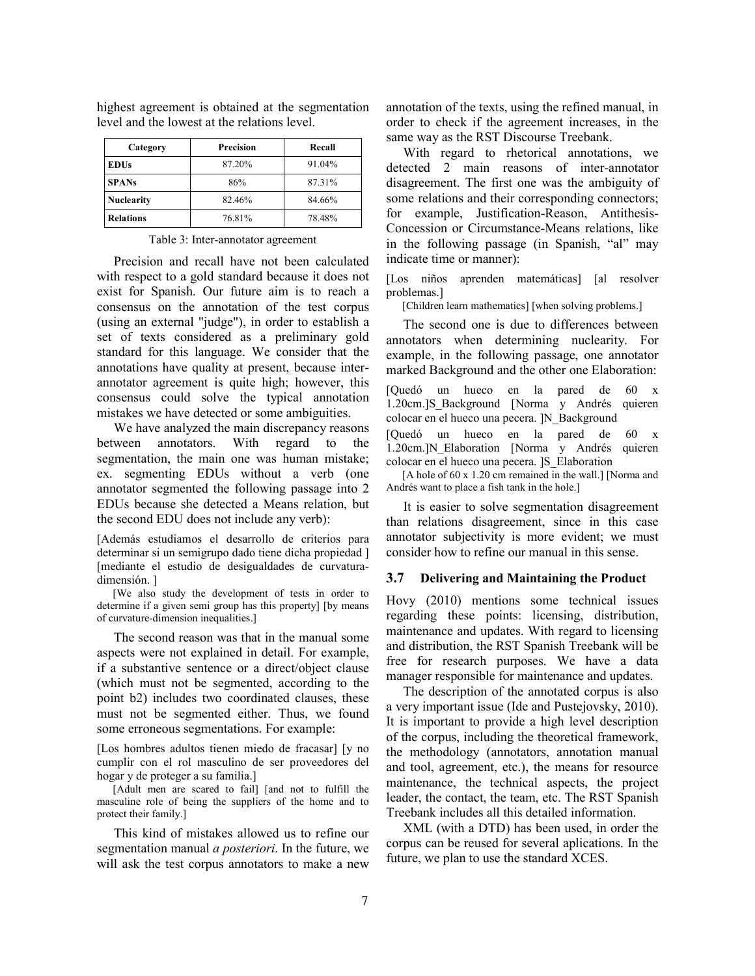| Category          | <b>Precision</b> | Recall |
|-------------------|------------------|--------|
| <b>EDUs</b>       | 87.20%           | 91.04% |
| <b>SPANs</b>      | 86%              | 87.31% |
| <b>Nuclearity</b> | 82.46%           | 84.66% |
| <b>Relations</b>  | 76.81%           | 78.48% |

highest agreement is obtained at the segmentation level and the lowest at the relations level.

#### Table 3: Inter-annotator agreement

Precision and recall have not been calculated with respect to a gold standard because it does not exist for Spanish. Our future aim is to reach a consensus on the annotation of the test corpus (using an external "judge"), in order to establish a set of texts considered as a preliminary gold standard for this language. We consider that the annotations have quality at present, because interannotator agreement is quite high; however, this consensus could solve the typical annotation mistakes we have detected or some ambiguities.

We have analyzed the main discrepancy reasons between annotators. With regard to the segmentation, the main one was human mistake; ex. segmenting EDUs without a verb (one annotator segmented the following passage into 2 EDUs because she detected a Means relation, but the second EDU does not include any verb):

[Además estudiamos el desarrollo de criterios para determinar si un semigrupo dado tiene dicha propiedad ] [mediante el estudio de desigualdades de curvaturadimensión. ]

 [We also study the development of tests in order to determine if a given semi group has this property] [by means of curvature-dimension inequalities.]

The second reason was that in the manual some aspects were not explained in detail. For example, if a substantive sentence or a direct/object clause (which must not be segmented, according to the point b2) includes two coordinated clauses, these must not be segmented either. Thus, we found some erroneous segmentations. For example:

[Los hombres adultos tienen miedo de fracasar] [y no cumplir con el rol masculino de ser proveedores del hogar y de proteger a su familia.]

 [Adult men are scared to fail] [and not to fulfill the masculine role of being the suppliers of the home and to protect their family.]

This kind of mistakes allowed us to refine our segmentation manual *a posteriori*. In the future, we will ask the test corpus annotators to make a new annotation of the texts, using the refined manual, in order to check if the agreement increases, in the same way as the RST Discourse Treebank.

With regard to rhetorical annotations, we detected 2 main reasons of inter-annotator disagreement. The first one was the ambiguity of some relations and their corresponding connectors; for example, Justification-Reason, Antithesis-Concession or Circumstance-Means relations, like in the following passage (in Spanish, "al" may indicate time or manner):

[Los niños aprenden matemáticas] [al resolver problemas.]

[Children learn mathematics] [when solving problems.]

The second one is due to differences between annotators when determining nuclearity. For example, in the following passage, one annotator marked Background and the other one Elaboration:

[Quedó un hueco en la pared de 60 x 1.20cm.]S\_Background [Norma y Andrés quieren colocar en el hueco una pecera. ]N\_Background

[Quedó un hueco en la pared de 60 x 1.20cm.]N\_Elaboration [Norma y Andrés quieren colocar en el hueco una pecera. ]S\_Elaboration

[A hole of 60 x 1.20 cm remained in the wall.] [Norma and Andrés want to place a fish tank in the hole.]

It is easier to solve segmentation disagreement than relations disagreement, since in this case annotator subjectivity is more evident; we must consider how to refine our manual in this sense.

#### 3.7 Delivering and Maintaining the Product

Hovy (2010) mentions some technical issues regarding these points: licensing, distribution, maintenance and updates. With regard to licensing and distribution, the RST Spanish Treebank will be free for research purposes. We have a data manager responsible for maintenance and updates.

The description of the annotated corpus is also a very important issue (Ide and Pustejovsky, 2010). It is important to provide a high level description of the corpus, including the theoretical framework, the methodology (annotators, annotation manual and tool, agreement, etc.), the means for resource maintenance, the technical aspects, the project leader, the contact, the team, etc. The RST Spanish Treebank includes all this detailed information.

XML (with a DTD) has been used, in order the corpus can be reused for several aplications. In the future, we plan to use the standard XCES.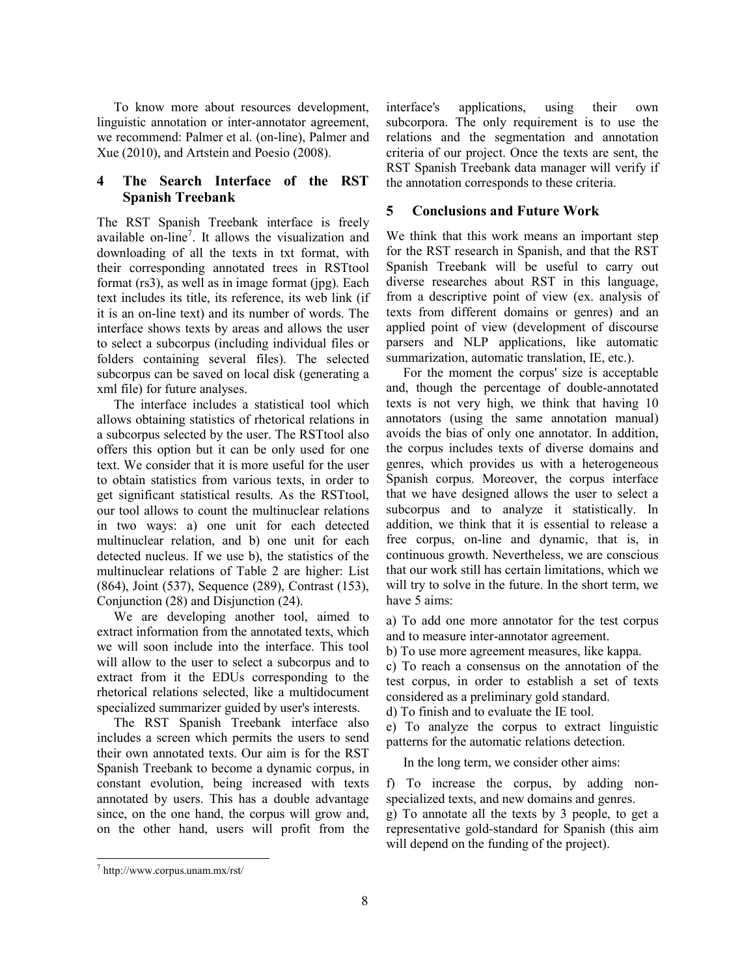To know more about resources development, linguistic annotation or inter-annotator agreement, we recommend: Palmer et al. (on-line), Palmer and Xue (2010), and Artstein and Poesio (2008).

## 4 The Search Interface of the RST Spanish Treebank

The RST Spanish Treebank interface is freely available on-line<sup>7</sup>. It allows the visualization and downloading of all the texts in txt format, with their corresponding annotated trees in RSTtool format (rs3), as well as in image format (jpg). Each text includes its title, its reference, its web link (if it is an on-line text) and its number of words. The interface shows texts by areas and allows the user to select a subcorpus (including individual files or folders containing several files). The selected subcorpus can be saved on local disk (generating a xml file) for future analyses.

The interface includes a statistical tool which allows obtaining statistics of rhetorical relations in a subcorpus selected by the user. The RSTtool also offers this option but it can be only used for one text. We consider that it is more useful for the user to obtain statistics from various texts, in order to get significant statistical results. As the RSTtool, our tool allows to count the multinuclear relations in two ways: a) one unit for each detected multinuclear relation, and b) one unit for each detected nucleus. If we use b), the statistics of the multinuclear relations of Table 2 are higher: List (864), Joint (537), Sequence (289), Contrast (153), Conjunction (28) and Disjunction (24).

We are developing another tool, aimed to extract information from the annotated texts, which we will soon include into the interface. This tool will allow to the user to select a subcorpus and to extract from it the EDUs corresponding to the rhetorical relations selected, like a multidocument specialized summarizer guided by user's interests.

The RST Spanish Treebank interface also includes a screen which permits the users to send their own annotated texts. Our aim is for the RST Spanish Treebank to become a dynamic corpus, in constant evolution, being increased with texts annotated by users. This has a double advantage since, on the one hand, the corpus will grow and, on the other hand, users will profit from the

interface's applications, using their own subcorpora. The only requirement is to use the relations and the segmentation and annotation criteria of our project. Once the texts are sent, the RST Spanish Treebank data manager will verify if the annotation corresponds to these criteria.

## 5 Conclusions and Future Work

We think that this work means an important step for the RST research in Spanish, and that the RST Spanish Treebank will be useful to carry out diverse researches about RST in this language, from a descriptive point of view (ex. analysis of texts from different domains or genres) and an applied point of view (development of discourse parsers and NLP applications, like automatic summarization, automatic translation, IE, etc.).

For the moment the corpus' size is acceptable and, though the percentage of double-annotated texts is not very high, we think that having 10 annotators (using the same annotation manual) avoids the bias of only one annotator. In addition, the corpus includes texts of diverse domains and genres, which provides us with a heterogeneous Spanish corpus. Moreover, the corpus interface that we have designed allows the user to select a subcorpus and to analyze it statistically. In addition, we think that it is essential to release a free corpus, on-line and dynamic, that is, in continuous growth. Nevertheless, we are conscious that our work still has certain limitations, which we will try to solve in the future. In the short term, we have 5 aims:

a) To add one more annotator for the test corpus and to measure inter-annotator agreement.

b) To use more agreement measures, like kappa.

c) To reach a consensus on the annotation of the test corpus, in order to establish a set of texts considered as a preliminary gold standard.

d) To finish and to evaluate the IE tool.

e) To analyze the corpus to extract linguistic patterns for the automatic relations detection.

In the long term, we consider other aims:

f) To increase the corpus, by adding nonspecialized texts, and new domains and genres. g) To annotate all the texts by 3 people, to get a representative gold-standard for Spanish (this aim will depend on the funding of the project).

<sup>-</sup>7 http://www.corpus.unam.mx/rst/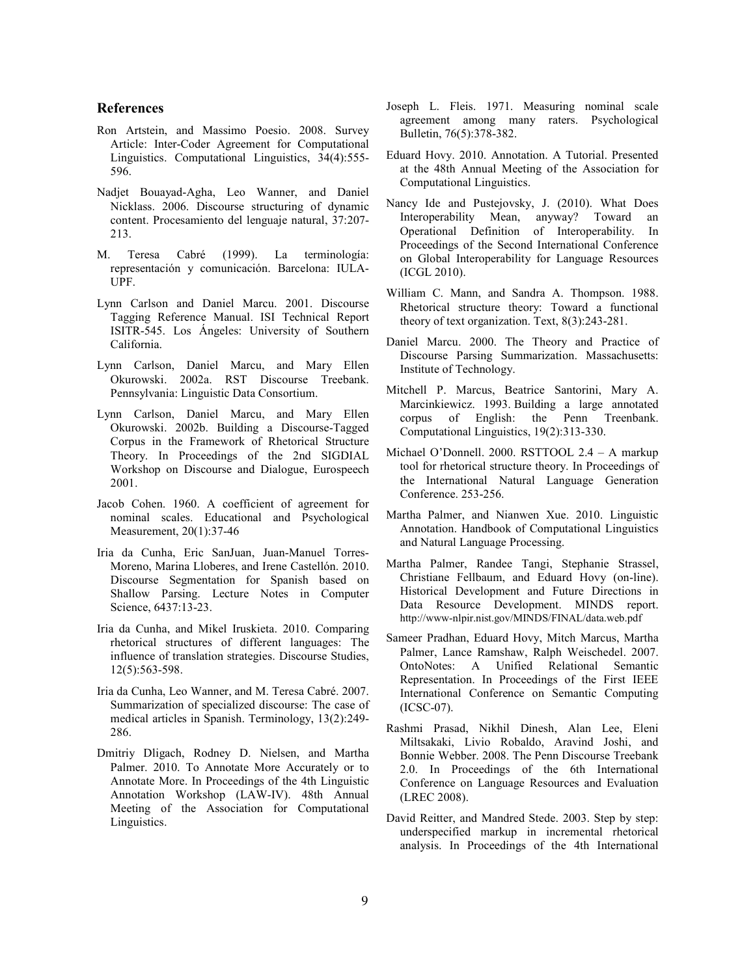#### References

- Ron Artstein, and Massimo Poesio. 2008. Survey Article: Inter-Coder Agreement for Computational Linguistics. Computational Linguistics, 34(4):555- 596.
- Nadjet Bouayad-Agha, Leo Wanner, and Daniel Nicklass. 2006. Discourse structuring of dynamic content. Procesamiento del lenguaje natural, 37:207- 213.
- M. Teresa Cabré (1999). La terminología: representación y comunicación. Barcelona: IULA-UPF.
- Lynn Carlson and Daniel Marcu. 2001. Discourse Tagging Reference Manual. ISI Technical Report ISITR-545. Los Ángeles: University of Southern California.
- Lynn Carlson, Daniel Marcu, and Mary Ellen Okurowski. 2002a. RST Discourse Treebank. Pennsylvania: Linguistic Data Consortium.
- Lynn Carlson, Daniel Marcu, and Mary Ellen Okurowski. 2002b. Building a Discourse-Tagged Corpus in the Framework of Rhetorical Structure Theory. In Proceedings of the 2nd SIGDIAL Workshop on Discourse and Dialogue, Eurospeech 2001.
- Jacob Cohen. 1960. A coefficient of agreement for nominal scales. Educational and Psychological Measurement, 20(1):37-46
- Iria da Cunha, Eric SanJuan, Juan-Manuel Torres-Moreno, Marina Lloberes, and Irene Castellón. 2010. Discourse Segmentation for Spanish based on Shallow Parsing. Lecture Notes in Computer Science, 6437:13-23.
- Iria da Cunha, and Mikel Iruskieta. 2010. Comparing rhetorical structures of different languages: The influence of translation strategies. Discourse Studies, 12(5):563-598.
- Iria da Cunha, Leo Wanner, and M. Teresa Cabré. 2007. Summarization of specialized discourse: The case of medical articles in Spanish. Terminology, 13(2):249- 286.
- Dmitriy Dligach, Rodney D. Nielsen, and Martha Palmer. 2010. To Annotate More Accurately or to Annotate More. In Proceedings of the 4th Linguistic Annotation Workshop (LAW-IV). 48th Annual Meeting of the Association for Computational Linguistics.
- Joseph L. Fleis. 1971. Measuring nominal scale agreement among many raters. Psychological Bulletin, 76(5):378-382.
- Eduard Hovy. 2010. Annotation. A Tutorial. Presented at the 48th Annual Meeting of the Association for Computational Linguistics.
- Nancy Ide and Pustejovsky, J. (2010). What Does Interoperability Mean, anyway? Toward an Operational Definition of Interoperability. In Proceedings of the Second International Conference on Global Interoperability for Language Resources (ICGL 2010).
- William C. Mann, and Sandra A. Thompson. 1988. Rhetorical structure theory: Toward a functional theory of text organization. Text, 8(3):243-281.
- Daniel Marcu. 2000. The Theory and Practice of Discourse Parsing Summarization. Massachusetts: Institute of Technology.
- Mitchell P. Marcus, Beatrice Santorini, Mary A. Marcinkiewicz. 1993. Building a large annotated corpus of English: the Penn Treenbank. Computational Linguistics, 19(2):313-330.
- Michael O'Donnell. 2000. RSTTOOL 2.4 A markup tool for rhetorical structure theory. In Proceedings of the International Natural Language Generation Conference. 253-256.
- Martha Palmer, and Nianwen Xue. 2010. Linguistic Annotation. Handbook of Computational Linguistics and Natural Language Processing.
- Martha Palmer, Randee Tangi, Stephanie Strassel, Christiane Fellbaum, and Eduard Hovy (on-line). Historical Development and Future Directions in Data Resource Development. MINDS report. http://www-nlpir.nist.gov/MINDS/FINAL/data.web.pdf
- Sameer Pradhan, Eduard Hovy, Mitch Marcus, Martha Palmer, Lance Ramshaw, Ralph Weischedel. 2007. OntoNotes: A Unified Relational Semantic Representation. In Proceedings of the First IEEE International Conference on Semantic Computing (ICSC-07).
- Rashmi Prasad, Nikhil Dinesh, Alan Lee, Eleni Miltsakaki, Livio Robaldo, Aravind Joshi, and Bonnie Webber. 2008. The Penn Discourse Treebank 2.0. In Proceedings of the 6th International Conference on Language Resources and Evaluation (LREC 2008).
- David Reitter, and Mandred Stede. 2003. Step by step: underspecified markup in incremental rhetorical analysis. In Proceedings of the 4th International